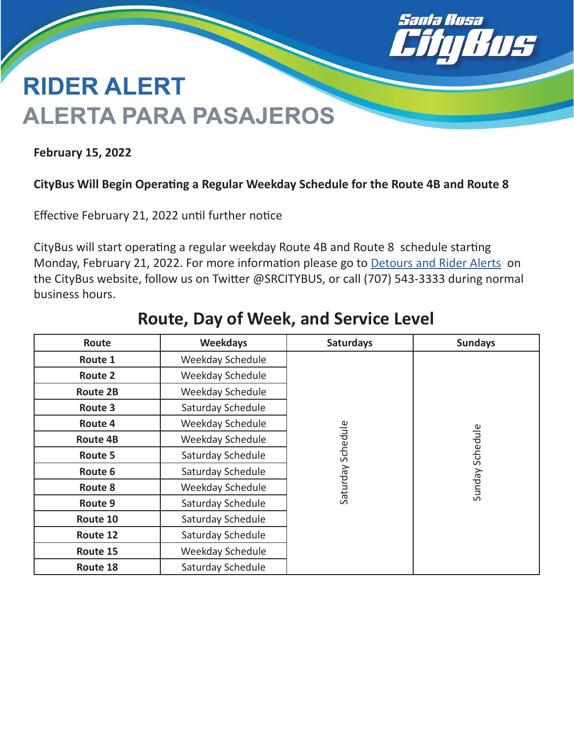

# **RIDER ALERT ALERTA PARA PASAJEROS**

**February 15, 2022**

### **CityBus Will Begin Operating a Regular Weekday Schedule for the Route 4B and Route 8**

Effective February 21, 2022 until further notice

CityBus will start operating a regular weekday Route 4B and Route 8 schedule starting Monday, February 21, 2022. For more information please go to [Detours and Rider Alerts](https://srcity.org/2564/Detours-and-Rider-Alerts) on the CityBus website, follow us on Twitter @SRCITYBUS, or call (707) 543-3333 during normal business hours.

| Route           | <b>Weekdays</b>   | <b>Saturdays</b>  | <b>Sundays</b>  |
|-----------------|-------------------|-------------------|-----------------|
| Route 1         | Weekday Schedule  |                   |                 |
| <b>Route 2</b>  | Weekday Schedule  |                   |                 |
| <b>Route 2B</b> | Weekday Schedule  |                   |                 |
| Route 3         | Saturday Schedule |                   |                 |
| Route 4         | Weekday Schedule  |                   |                 |
| <b>Route 4B</b> | Weekday Schedule  |                   |                 |
| Route 5         | Saturday Schedule |                   |                 |
| Route 6         | Saturday Schedule | Saturday Schedule | Sunday Schedule |
| Route 8         | Weekday Schedule  |                   |                 |
| Route 9         | Saturday Schedule |                   |                 |
| Route 10        | Saturday Schedule |                   |                 |
| Route 12        | Saturday Schedule |                   |                 |
| Route 15        | Weekday Schedule  |                   |                 |
| Route 18        | Saturday Schedule |                   |                 |

## **Route, Day of Week, and Service Level**